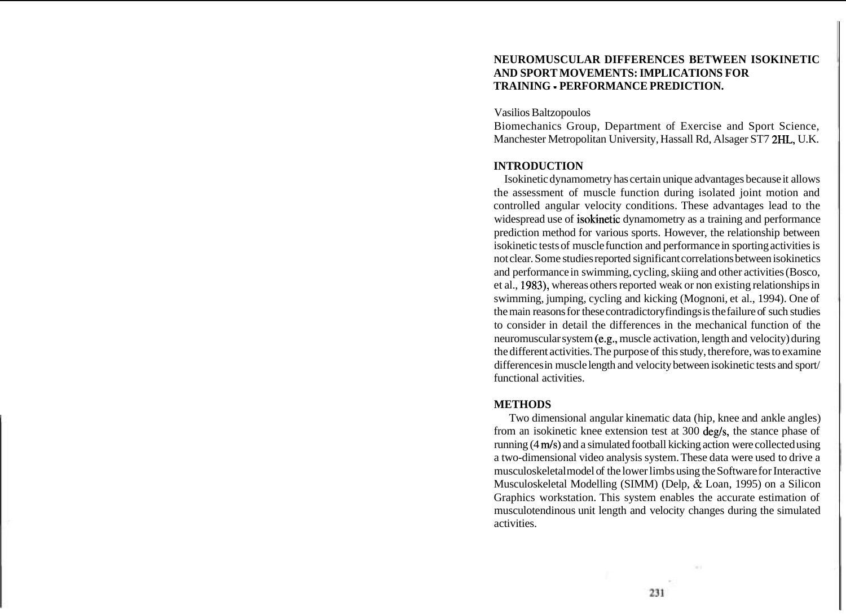## **NEUROMUSCULAR DIFFERENCES BETWEEN ISOKINETIC AND SPORT MOVEMENTS: IMPLICATIONS FOR TRAINING** - **PERFORMANCE PREDICTION.**

Vasilios Baltzopoulos

Biomechanics Group, Department of Exercise and Sport Science, Manchester Metropolitan University, Hassall Rd, Alsager ST7 2HL, U.K.

### **INTRODUCTION**

Isokinetic dynamometry has certain unique advantages because it allows the assessment of muscle function during isolated joint motion and controlled angular velocity conditions. These advantages lead to the widespread use of isokinetic dynamometry as a training and performance prediction method for various sports. However, the relationship between isokinetic tests of muscle function and performance in sporting activities is not clear. Some studies reported significant correlations between isokinetics and performance in swimming, cycling, skiing and other activities (Bosco, et al., 1983), whereas others reported weak or non existing relationships in swimming, jumping, cycling and kicking (Mognoni, et al., 1994). One of the main reasons for these contradictory findings is the failure of such studies to consider in detail the differences in the mechanical function of the neuromuscular system (e.g., muscle activation, length and velocity) during the different activities. The purpose of this study, therefore, was to examine differences in muscle length and velocity between isokinetic tests and sport/ functional activities.

## **METHODS**

Two dimensional angular kinematic data (hip, knee and ankle angles) from an isokinetic knee extension test at 300 deg/s, the stance phase of running (4 m/s) and a simulated football kicking action were collected using a two-dimensional video analysis system. These data were used to drive a musculoskeletal model of the lower limbs using the Software for Interactive Musculoskeletal Modelling (SIMM) (Delp, & Loan, 1995) on a Silicon Graphics workstation. This system enables the accurate estimation of musculotendinous unit length and velocity changes during the simulated activities.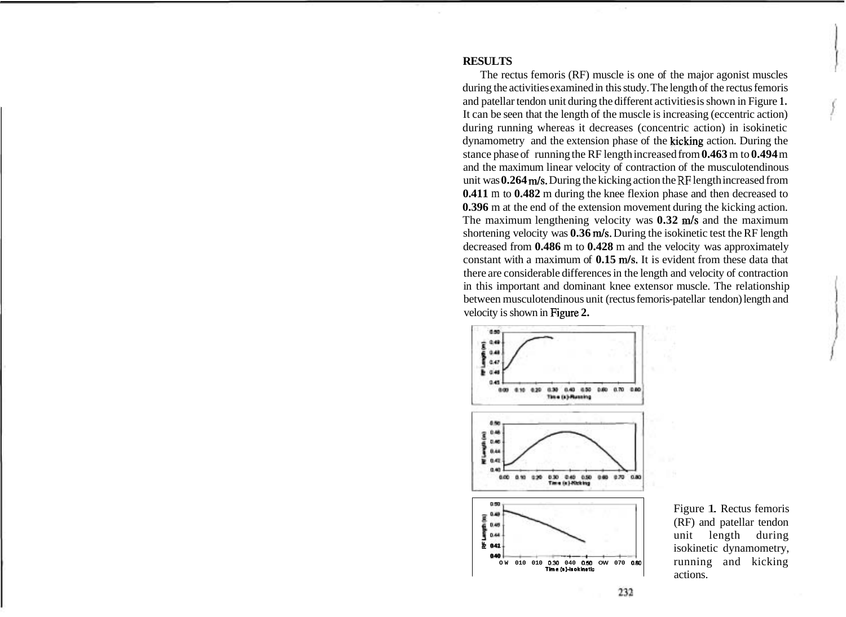#### **RESULTS**

The rectus femoris (RF) muscle is one of the major agonist muscles during the activities examined in this study. The length of the rectus femoris and patellar tendon unit during the different activities is shown in Figure **1.**  It can be seen that the length of the muscle is increasing (eccentric action) during running whereas it decreases (concentric action) in isokinetic dynamometry and the extension phase of the kicking action. During the stance phase of running the RF length increased from **0.463** m to **0.494** m and the maximum linear velocity of contraction of the musculotendinous unit was **0.264** m/s. During the kicking action the RF length increased from **0.411** m to **0.482** m during the knee flexion phase and then decreased to **0.396** m at the end of the extension movement during the kicking action. The maximum lengthening velocity was **0.32** m/s and the maximum shortening velocity was **0.36** m/s. During the isokinetic test the RF length decreased from **0.486** m to **0.428** m and the velocity was approximately constant with a maximum of **0.15** m/s. It is evident from these data that there are considerable differences in the length and velocity of contraction in this important and dominant knee extensor muscle. The relationship between musculotendinous unit (rectus femoris-patellar tendon) length and velocity is shown in Figure **2.** 



Figure 1. Rectus femoris (RF) and patellar tendon unit length during isokinetic dynamometry, running and kicking actions.

232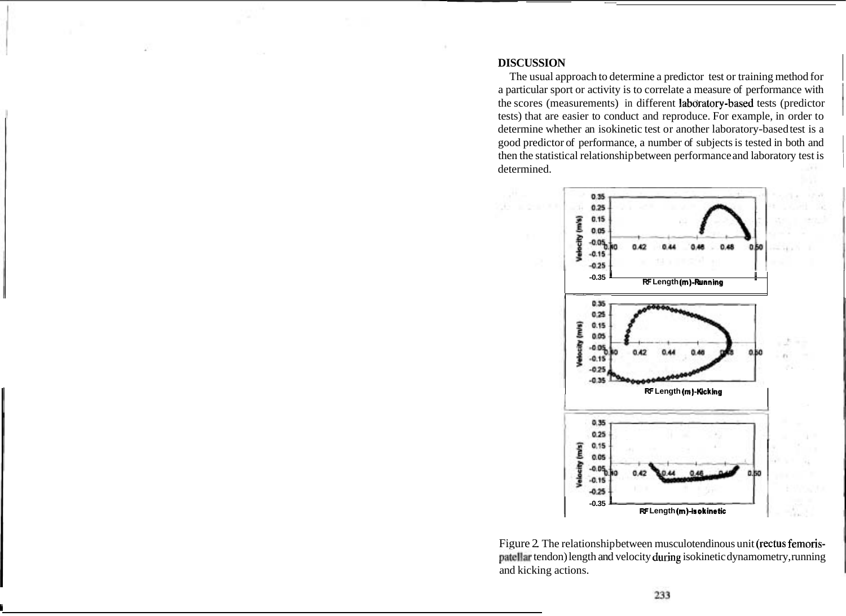# **DISCUSSION**

The usual approach to determine a predictor test or training method for a particular sport or activity is to correlate a measure of performance with the scores (measurements) in different labdratory-based tests (predictor tests) that are easier to conduct and reproduce. For example, in order to determine whether an isokinetic test or another laboratory-based test is a good predictor of performance, a number of subjects is tested in both and 1 then the statistical relationship between performance and laboratory test is <sup>1</sup> determined.



Figure 2. The relationship between musculotendinous unit (rectus femorispatellar tendon) length and velocity during isokinetic dynamometry, running and kicking actions.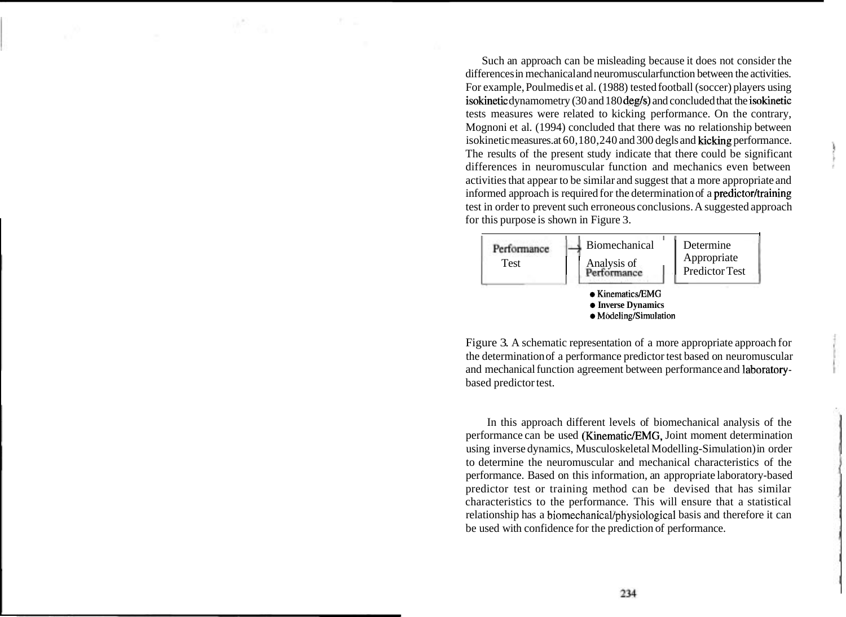Such an approach can be misleading because it does not consider the differences in mechanical and neuromuscular function between the activities. For example, Poulmedis et al. (1988) tested football (soccer) players using isokinetic dynamometry (30 and 180 deg/s) and concluded that the isokinetic tests measures were related to kicking performance. On the contrary, Mognoni et al. (1994) concluded that there was no relationship between isokinetic measures. at 60,180,240 and 300 degls and kicking performance. The results of the present study indicate that there could be significant differences in neuromuscular function and mechanics even between activities that appear to be similar and suggest that a more appropriate and informed approach is required for the determination of a **predictor/training** test in order to prevent such erroneous conclusions. A suggested approach for this purpose is shown in Figure 3.



Figure 3. A schematic representation of a more appropriate approach for the determination of a performance predictor test based on neuromuscular and mechanical function agreement between performance and laboratorybased predictor test.

In this approach different levels of biomechanical analysis of the performance can be used (Kinematic/EMG, Joint moment determination using inverse dynamics, Musculoskeletal Modelling-Simulation) in order to determine the neuromuscular and mechanical characteristics of the performance. Based on this information, an appropriate laboratory-based predictor test or training method can be devised that has similar characteristics to the performance. This will ensure that a statistical relationship has a **biomechanicaVphysiological** basis and therefore it can be used with confidence for the prediction of performance.